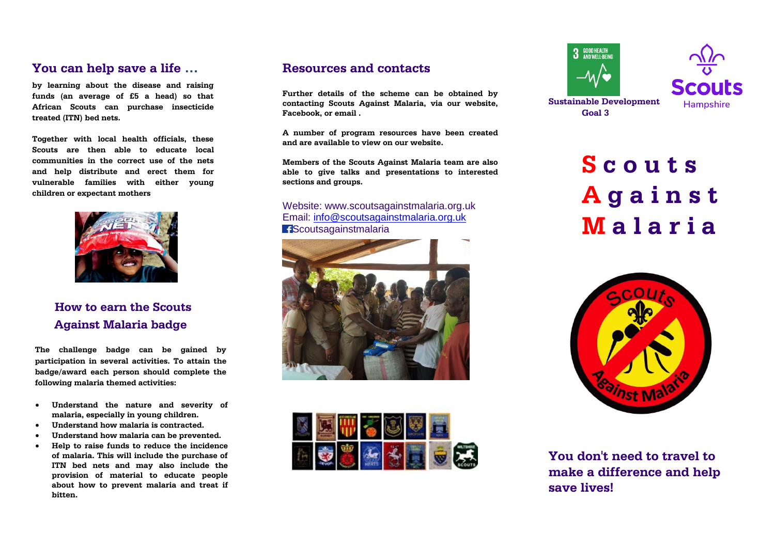### **You can help save a life …**

**by learning about the disease and raising funds (an average of £5 a head) so that African Scouts can purchase insecticide treated (ITN) bed nets.**

**Together with local health officials, these Scouts are then able to educate local communities in the correct use of the nets and help distribute and erect them for vulnerable families with either young children or expectant mothers** 



## **How to earn the Scouts Against Malaria badge**

**The challenge badge can be gained by participation in several activities. To attain the badge/award each person should complete the following malaria themed activities:**

- **Understand the nature and severity of malaria, especially in young children.**
- **Understand how malaria is contracted.**
- **Understand how malaria can be prevented.**
- **Help to raise funds to reduce the incidence of malaria. This will include the purchase of ITN bed nets and may also include the provision of material to educate people about how to prevent malaria and treat if bitten.**

### **Resources and contacts**

**Further details of the scheme can be obtained by contacting Scouts Against Malaria, via our website, Facebook, or email .**

**A number of program resources have been created and are available to view on our website.**

**Members of the Scouts Against Malaria team are also able to give talks and presentations to interested sections and groups.**

#### Website: www.scoutsagainstmalaria.org.uk Email: [info@scoutsagainstmalaria.org.uk](mailto:info@scoutsagainstmalaria.org.uk) **f**Scoutsagainstmalaria









**Sustainable Development Goal 3**

**Hampshire** 

# **S c o u t s A g a i n s t M a l a r i a**



**You don't need to travel to make a difference and help save lives!**